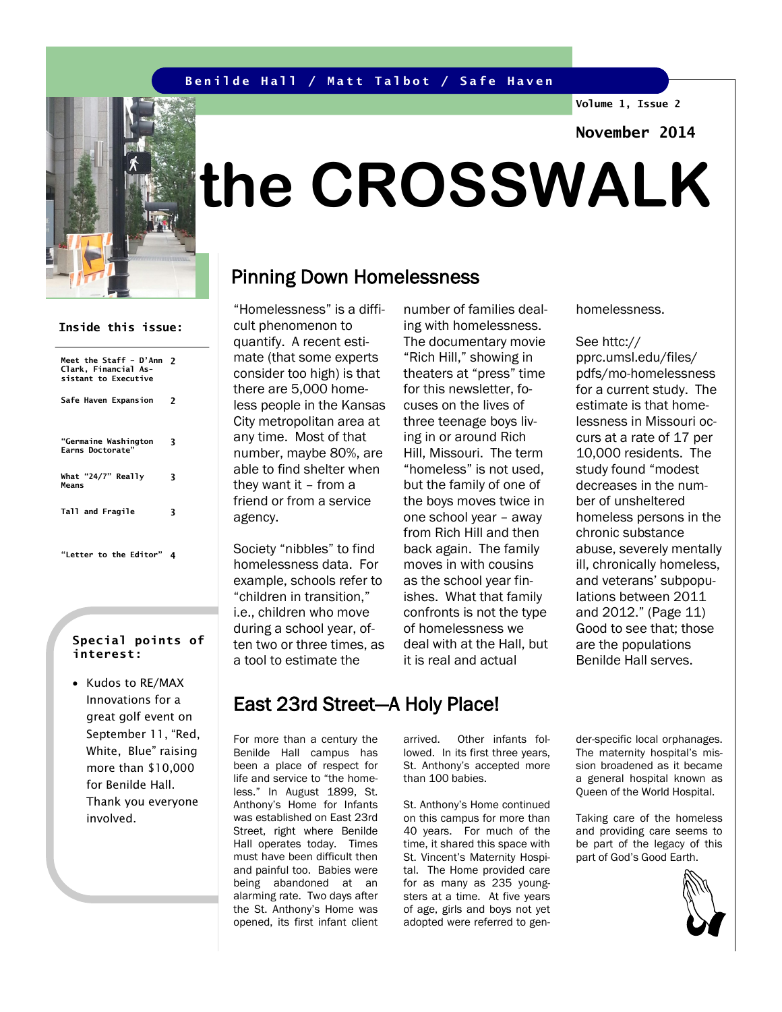#### **Benilde Hall / Matt Talbot / Safe Haven**

**Volume 1, Issue 2**

**November 2014**



**Meet the Staff – D'Ann 2 Clark, Financial As-sistant to Executive** 

**Inside this issue:**

**Safe Haven Expansion 2**

**3**

**3**

**"Germaine Washington Earns Doctorate"**

**What "24/7" Really** 

**Tall and Fragile 3**

**"Letter to the Editor" 4**

**Means**

# **the CROSSWALK**

## Pinning Down Homelessness

"Homelessness" is a diffi-

cult phenomenon to quantify. A recent estimate (that some experts consider too high) is that there are 5,000 homeless people in the Kansas City metropolitan area at any time. Most of that number, maybe 80%, are able to find shelter when they want it – from a friend or from a service

> agency. Society "nibbles" to find homelessness data. For example, schools refer to "children in transition," i.e., children who move during a school year, of-

> ten two or three times, as a tool to estimate the

number of families dealing with homelessness. The documentary movie "Rich Hill," showing in theaters at "press" time for this newsletter, focuses on the lives of three teenage boys living in or around Rich Hill, Missouri. The term "homeless" is not used, but the family of one of the boys moves twice in one school year – away from Rich Hill and then back again. The family moves in with cousins as the school year finishes. What that family confronts is not the type of homelessness we deal with at the Hall, but it is real and actual

homelessness.

#### See httc://

pprc.umsl.edu/files/ pdfs/mo-homelessness for a current study. The estimate is that homelessness in Missouri occurs at a rate of 17 per 10,000 residents. The study found "modest decreases in the number of unsheltered homeless persons in the chronic substance abuse, severely mentally ill, chronically homeless, and veterans' subpopulations between 2011 and 2012." (Page 11) Good to see that; those are the populations Benilde Hall serves.

#### **Special points of interest:**

• Kudos to RE/MAX Innovations for a great golf event on September 11, "Red, White, Blue" raising more than \$10,000 for Benilde Hall. Thank you everyone involved.

East 23rd Street—A Holy Place!

For more than a century the Benilde Hall campus has been a place of respect for life and service to "the homeless." In August 1899, St. Anthony's Home for Infants was established on East 23rd Street, right where Benilde Hall operates today. Times must have been difficult then and painful too. Babies were being abandoned at an alarming rate. Two days after the St. Anthony's Home was opened, its first infant client

arrived. Other infants followed. In its first three years, St. Anthony's accepted more than 100 babies.

St. Anthony's Home continued on this campus for more than 40 years. For much of the time, it shared this space with St. Vincent's Maternity Hospital. The Home provided care for as many as 235 youngsters at a time. At five years of age, girls and boys not yet adopted were referred to gender-specific local orphanages. The maternity hospital's mission broadened as it became a general hospital known as Queen of the World Hospital.

Taking care of the homeless and providing care seems to be part of the legacy of this part of God's Good Earth.

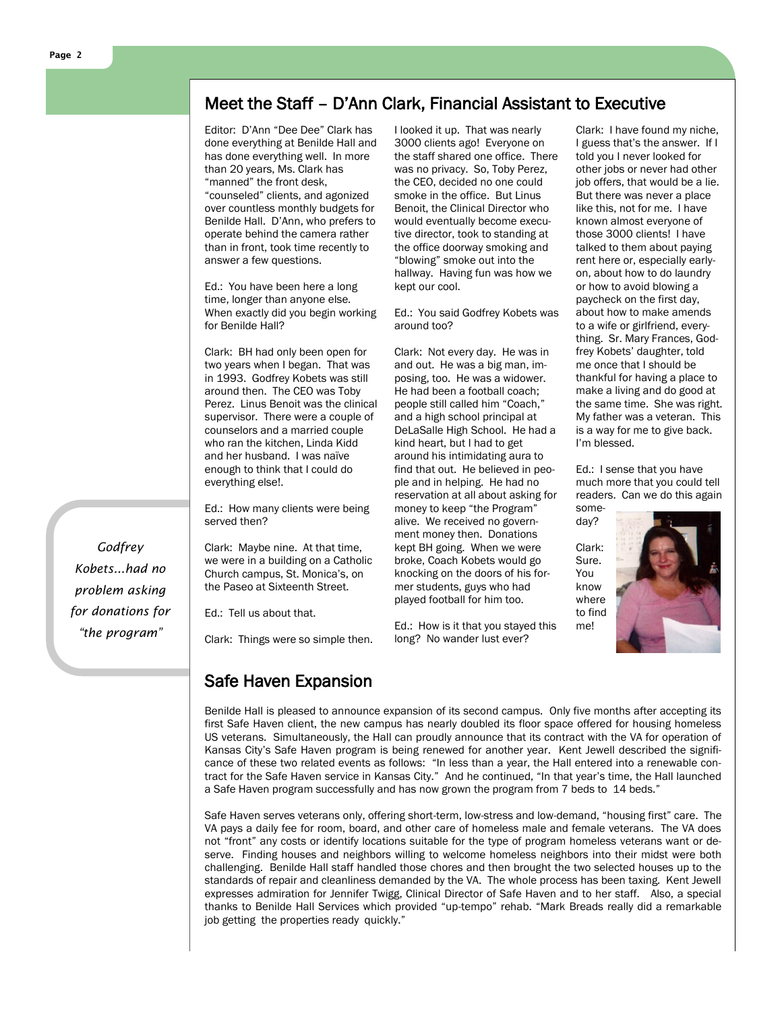## Meet the Staff – D'Ann Clark, Financial Assistant to Executive

Editor: D'Ann "Dee Dee" Clark has done everything at Benilde Hall and has done everything well. In more than 20 years, Ms. Clark has "manned" the front desk, "counseled" clients, and agonized over countless monthly budgets for Benilde Hall. D'Ann, who prefers to operate behind the camera rather than in front, took time recently to answer a few questions.

Ed.: You have been here a long time, longer than anyone else. When exactly did you begin working for Benilde Hall?

Clark: BH had only been open for two years when I began. That was in 1993. Godfrey Kobets was still around then. The CEO was Toby Perez. Linus Benoit was the clinical supervisor. There were a couple of counselors and a married couple who ran the kitchen, Linda Kidd and her husband. I was naïve enough to think that I could do everything else!.

Ed.: How many clients were being served then?

Clark: Maybe nine. At that time, we were in a building on a Catholic Church campus, St. Monica's, on the Paseo at Sixteenth Street.

Ed.: Tell us about that.

Clark: Things were so simple then.

I looked it up. That was nearly 3000 clients ago! Everyone on the staff shared one office. There was no privacy. So, Toby Perez, the CEO, decided no one could smoke in the office. But Linus Benoit, the Clinical Director who would eventually become executive director, took to standing at the office doorway smoking and "blowing" smoke out into the hallway. Having fun was how we kept our cool.

Ed.: You said Godfrey Kobets was around too?

Clark: Not every day. He was in and out. He was a big man, imposing, too. He was a widower. He had been a football coach; people still called him "Coach," and a high school principal at DeLaSalle High School. He had a kind heart, but I had to get around his intimidating aura to find that out. He believed in people and in helping. He had no reservation at all about asking for money to keep "the Program" alive. We received no government money then. Donations kept BH going. When we were broke, Coach Kobets would go knocking on the doors of his former students, guys who had played football for him too.

Ed.: How is it that you stayed this long? No wander lust ever?

Clark: I have found my niche, I guess that's the answer. If I told you I never looked for other jobs or never had other job offers, that would be a lie. But there was never a place like this, not for me. I have known almost everyone of those 3000 clients! I have talked to them about paying rent here or, especially earlyon, about how to do laundry or how to avoid blowing a paycheck on the first day, about how to make amends to a wife or girlfriend, everything. Sr. Mary Frances, Godfrey Kobets' daughter, told me once that I should be thankful for having a place to make a living and do good at the same time. She was right. My father was a veteran. This is a way for me to give back. I'm blessed.

Ed.: I sense that you have much more that you could tell readers. Can we do this again some-

day? Clark: Sure. You know where to find me!



Safe Haven Expansion

Benilde Hall is pleased to announce expansion of its second campus. Only five months after accepting its first Safe Haven client, the new campus has nearly doubled its floor space offered for housing homeless US veterans. Simultaneously, the Hall can proudly announce that its contract with the VA for operation of Kansas City's Safe Haven program is being renewed for another year. Kent Jewell described the significance of these two related events as follows: "In less than a year, the Hall entered into a renewable contract for the Safe Haven service in Kansas City." And he continued, "In that year's time, the Hall launched a Safe Haven program successfully and has now grown the program from 7 beds to 14 beds."

Safe Haven serves veterans only, offering short-term, low-stress and low-demand, "housing first" care. The VA pays a daily fee for room, board, and other care of homeless male and female veterans. The VA does not "front" any costs or identify locations suitable for the type of program homeless veterans want or deserve. Finding houses and neighbors willing to welcome homeless neighbors into their midst were both challenging. Benilde Hall staff handled those chores and then brought the two selected houses up to the standards of repair and cleanliness demanded by the VA. The whole process has been taxing. Kent Jewell expresses admiration for Jennifer Twigg, Clinical Director of Safe Haven and to her staff. Also, a special thanks to Benilde Hall Services which provided "up-tempo" rehab. "Mark Breads really did a remarkable job getting the properties ready quickly."

*Godfrey Kobets...had no problem asking for donations for "the program"*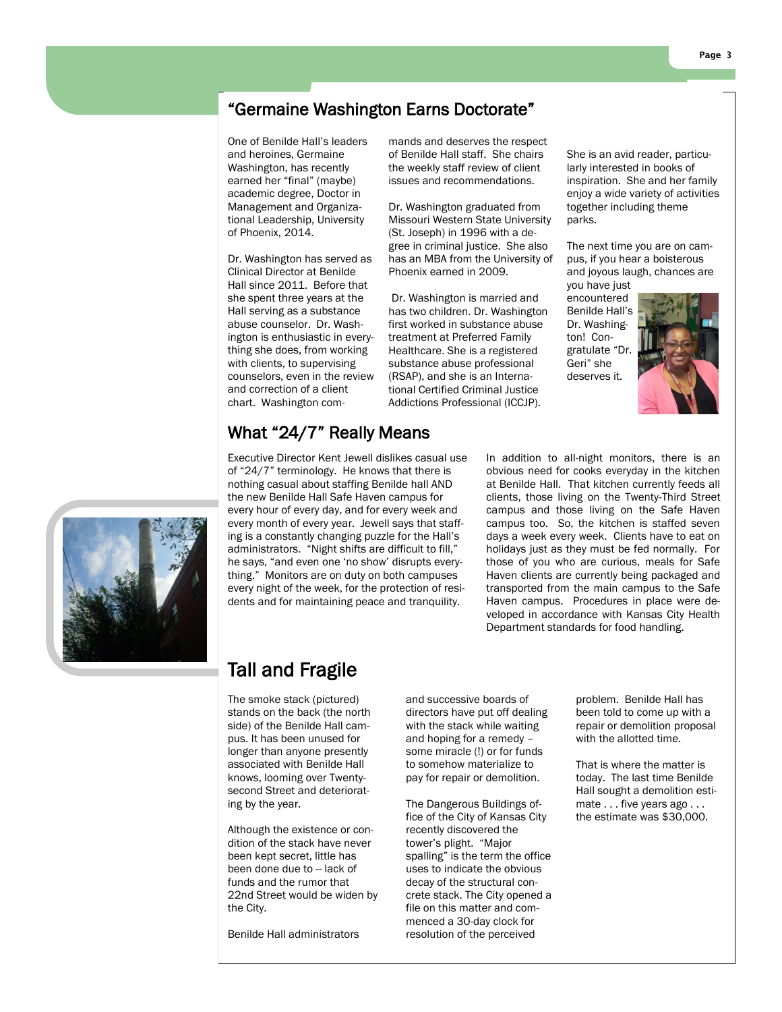## "Germaine Washington Earns Doctorate"

One of Benilde Hall's leaders and heroines, Germaine Washington, has recently earned her "final" (maybe) academic degree, Doctor in Management and Organizational Leadership, University of Phoenix, 2014.

Dr. Washington has served as Clinical Director at Benilde Hall since 2011. Before that she spent three years at the Hall serving as a substance abuse counselor. Dr. Washington is enthusiastic in everything she does, from working with clients, to supervising counselors, even in the review and correction of a client chart. Washington commands and deserves the respect of Benilde Hall staff. She chairs the weekly staff review of client issues and recommendations.

Dr. Washington graduated from Missouri Western State University (St. Joseph) in 1996 with a degree in criminal justice. She also has an MBA from the University of Phoenix earned in 2009.

Dr. Washington is married and has two children. Dr. Washington first worked in substance abuse treatment at Preferred Family Healthcare. She is a registered substance abuse professional (RSAP), and she is an International Certified Criminal Justice Addictions Professional (ICCJP).

She is an avid reader, particularly interested in books of inspiration. She and her family enjoy a wide variety of activities together including theme parks.

The next time you are on campus, if you hear a boisterous and joyous laugh, chances are you have just

encountered Benilde Hall's Dr. Washington! Congratulate "Dr. Geri" she deserves it.



### What "24/7" Really Means Executive Director Kent Jewell dislikes casual use

of "24/7" terminology. He knows that there is nothing casual about staffing Benilde hall AND the new Benilde Hall Safe Haven campus for every hour of every day, and for every week and every month of every year. Jewell says that staffing is a constantly changing puzzle for the Hall's administrators. "Night shifts are difficult to fill," he says, "and even one 'no show' disrupts everything." Monitors are on duty on both campuses every night of the week, for the protection of residents and for maintaining peace and tranquility.

In addition to all-night monitors, there is an obvious need for cooks everyday in the kitchen at Benilde Hall. That kitchen currently feeds all clients, those living on the Twenty-Third Street campus and those living on the Safe Haven campus too. So, the kitchen is staffed seven days a week every week. Clients have to eat on holidays just as they must be fed normally. For those of you who are curious, meals for Safe Haven clients are currently being packaged and transported from the main campus to the Safe Haven campus. Procedures in place were developed in accordance with Kansas City Health Department standards for food handling.



# Tall and Fragile

The smoke stack (pictured) stands on the back (the north side) of the Benilde Hall campus. It has been unused for longer than anyone presently associated with Benilde Hall knows, looming over Twentysecond Street and deteriorating by the year.

Although the existence or condition of the stack have never been kept secret, little has been done due to -- lack of funds and the rumor that 22nd Street would be widen by the City.

Benilde Hall administrators

and successive boards of directors have put off dealing with the stack while waiting and hoping for a remedy – some miracle (!) or for funds to somehow materialize to pay for repair or demolition.

The Dangerous Buildings office of the City of Kansas City recently discovered the tower's plight. "Major spalling" is the term the office uses to indicate the obvious decay of the structural concrete stack. The City opened a file on this matter and commenced a 30-day clock for resolution of the perceived

problem. Benilde Hall has been told to come up with a repair or demolition proposal with the allotted time.

That is where the matter is today. The last time Benilde Hall sought a demolition estimate . . . five years ago . . . the estimate was \$30,000.